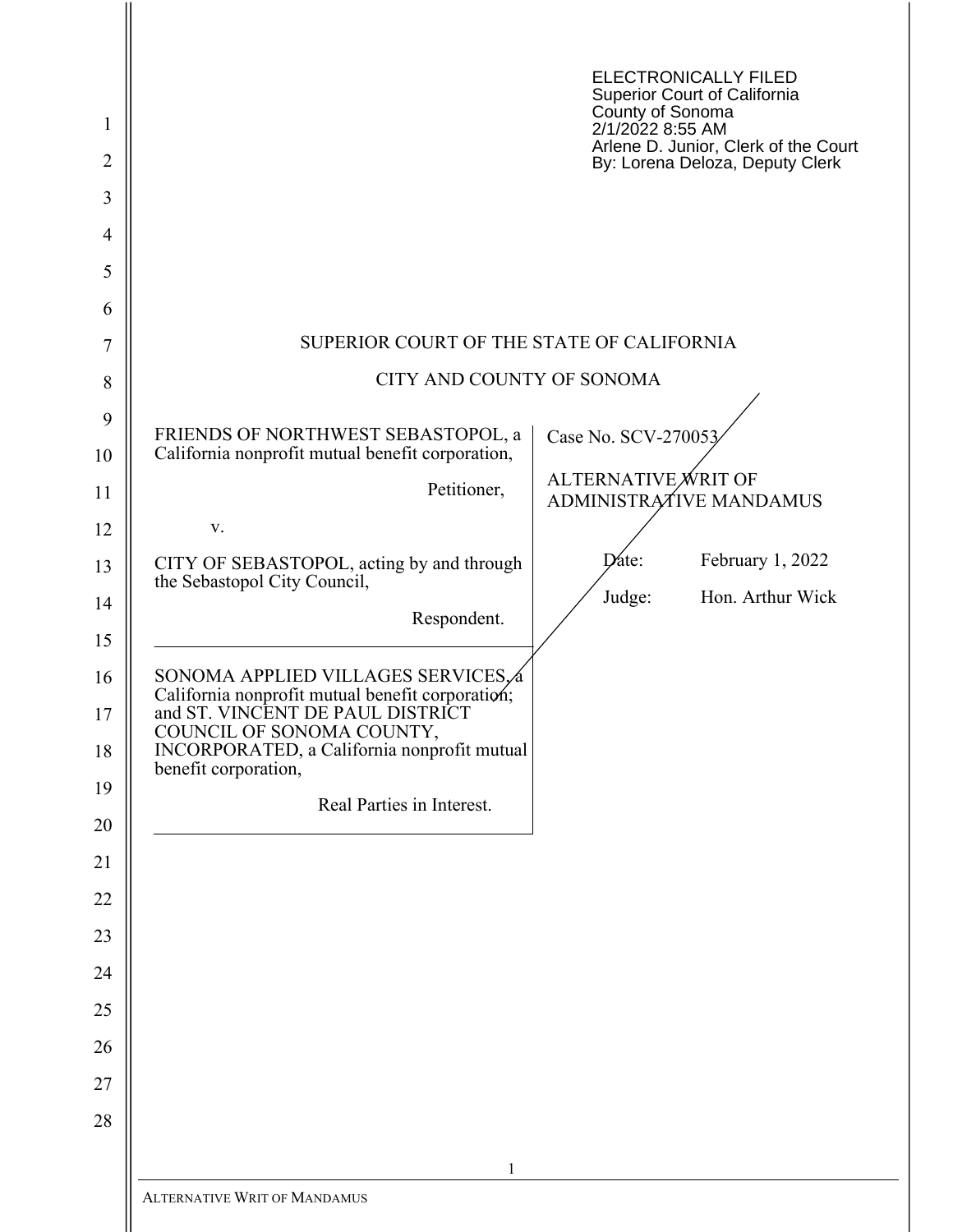| 1<br>$\overline{2}$<br>3<br>$\overline{4}$ |                                                                                                                                                                                                                                 | ELECTRONICALLY FILED<br>Superior Court of California<br>County of Sonoma<br>2/1/2022 8:55 AM<br>Arlene D. Junior, Clerk of the Court<br>By: Lorena Deloza, Deputy Clerk |
|--------------------------------------------|---------------------------------------------------------------------------------------------------------------------------------------------------------------------------------------------------------------------------------|-------------------------------------------------------------------------------------------------------------------------------------------------------------------------|
| 5<br>6                                     |                                                                                                                                                                                                                                 |                                                                                                                                                                         |
| 7                                          | SUPERIOR COURT OF THE STATE OF CALIFORNIA                                                                                                                                                                                       |                                                                                                                                                                         |
| 8                                          | CITY AND COUNTY OF SONOMA                                                                                                                                                                                                       |                                                                                                                                                                         |
| 9                                          | FRIENDS OF NORTHWEST SEBASTOPOL, a                                                                                                                                                                                              | Case No. SCV-270053                                                                                                                                                     |
| 10                                         | California nonprofit mutual benefit corporation,                                                                                                                                                                                | ALTERNATIVE WRIT OF                                                                                                                                                     |
| 11<br>12                                   | Petitioner,<br>V.                                                                                                                                                                                                               | ADMINISTRATIVE MANDAMUS                                                                                                                                                 |
| 13                                         | CITY OF SEBASTOPOL, acting by and through                                                                                                                                                                                       | $\mathbf{Date:}$<br>February 1, 2022                                                                                                                                    |
| 14                                         | the Sebastopol City Council,<br>Respondent.                                                                                                                                                                                     | Judge:<br>Hon. Arthur Wick                                                                                                                                              |
| 15                                         |                                                                                                                                                                                                                                 |                                                                                                                                                                         |
| 16<br>17<br>18                             | SONOMA APPLIED VILLAGES SERVICES. 4<br>California nonprofit mutual benefit corporation;<br>and ST. VINCENT DE PAUL DISTRICT<br>COUNCIL OF SONOMA COUNTY,<br>INCORPORATED, a California nonprofit mutual<br>benefit corporation, |                                                                                                                                                                         |
| 19                                         | Real Parties in Interest.                                                                                                                                                                                                       |                                                                                                                                                                         |
| 20<br>21                                   |                                                                                                                                                                                                                                 |                                                                                                                                                                         |
| 22                                         |                                                                                                                                                                                                                                 |                                                                                                                                                                         |
| 23                                         |                                                                                                                                                                                                                                 |                                                                                                                                                                         |
| 24                                         |                                                                                                                                                                                                                                 |                                                                                                                                                                         |
| 25                                         |                                                                                                                                                                                                                                 |                                                                                                                                                                         |
| 26                                         |                                                                                                                                                                                                                                 |                                                                                                                                                                         |
| 27                                         |                                                                                                                                                                                                                                 |                                                                                                                                                                         |
| 28                                         |                                                                                                                                                                                                                                 |                                                                                                                                                                         |
|                                            | $\mathbf{1}$<br><b>ALTERNATIVE WRIT OF MANDAMUS</b>                                                                                                                                                                             |                                                                                                                                                                         |